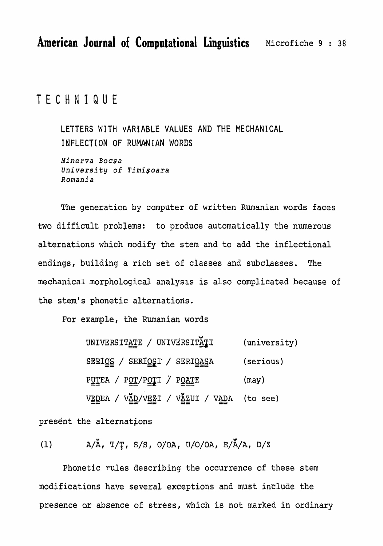TECHNIQUE

LETTERS WITH VARIABLE VALUES AND THE MECHANICAL INFLECTION OF RUMANIAN WORDS

Minerva Bocsa University of Timişoara Romania

The generation by computer of written Rumanian words faces two difficult problems: to produce automatically the numerous alternations which modify the stem and to add the inflectional endings, building a rich set of classes and subclasses. **The** mechanical morphological analysis is also complicated because of the stem's phonetic alternations.

For example, the Rumanian words

UNIVERSITATE / UNIVERSITATI (university) SERIOS / SERIOSI / SERIOASA (serious) PUTEA / POT/POTI / POATE (may) VEDEA / VAD/VEZI / VAZUI / VADA (to see)

present the alternations

 $A/\tilde{A}$ , T/Ţ, S/S, O/OA, U/O/OA, E/Ă/A, D/Z  $(1)$ 

Phonetic rules describing the occurrence of these stem modifications have several exceptions and must include the presence or absence of stress, which is not marked in ordinary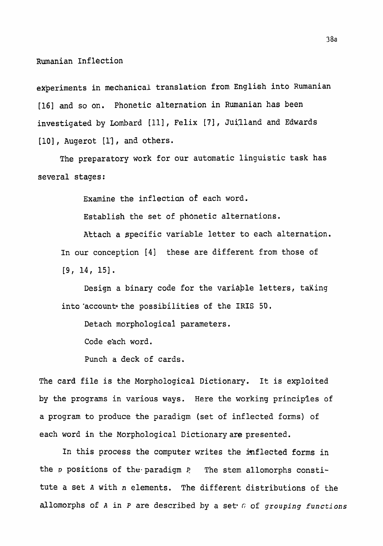experiments in mechanical translation from English into Rumanian **[16] and so on.** Phonetic alternation in **Rumanian has been**  investigated by Lombard [11], Felix [7], Juilland and Edwards **[lo]** , **Augerot [l']** , and others.

The preparatory **work** for our automatic linguistic **task** has several **stages** :

**Examine the** inflection **of each word.** 

**Establish the set of phonetic alternations.** 

**Attach a specific variable letter** to **each alternation.**  In **our conception [4] these are different from those of [9, 14, 151.** 

Design a binary code for the variable letters, taking into 'account the possibilities of the IRIS 50.

**Detach morphological** parameters.

**Code** each **word.** 

Punch **a** deck of cards.

**The card** file **is the Morphological Dictionary. It is exploited by** the programs **in various ways.** Here the **working principles** of **a program to produce the** paradigm (set **of** inflected **forms) of each word in the Morphological** Dictionaryare **presented.** 

**Ir.** this **process** the computer writes the **inflected forms in the P positions of** the **paradigm** ? **The stem allomorphs constitute a set A** with **n elements. The different distributions of the allomorphs of A in P** are described **by a see C; of** *grouping functions*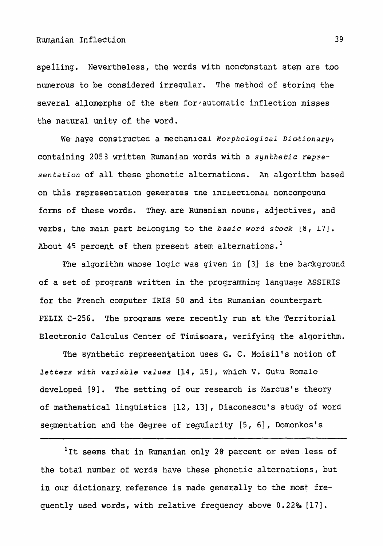**spelling.** Nevertheless, **the** words with **nonc'onstant** stem **are too numerous to be considered** irreqular. **The method of storinq the**  several allomorphs of the stem for automatic inflection misses the natural unity of the word.

**We\* have Constructed a mechanical** *Morphol* ogi *cal* Di otionary/, **containing** 2058 **written** Rumanian words **with** a **synthetic repre**sentation **of all these phonetic alternations. An algorithm based on this representatlon generates tne inriecrlonai noncompouna fbrms of these words. They, are Rumanian nouns, adjectives, and verbs, the main part belonging to** the **basic** *word sbck* **[8, 171. About 45** percent **of them** present **stem** alternations. **<sup>1</sup>**

**The algorithm** whose logic **was given in [3] is** the background **of a set of** programs **written in the programming language ASSIRIS for the French computer IRIS 50 and its Rumanian counterpart**  FELIX C-256. The programs were recently run at the Territorial Electronic Calculus Center of Timisoara, verifying the algorithm.

The synthetic representation uses G. C. Moisil's notion of *letters with variable values* **[14, 151** , **which V.** Gut.u **Romalo**  developed [9]. The setting of our research is Marcus's theory **of mathematical linguistics [12,** 131, **Diaconesculs study of** word **segmentation** and the degree **of regularity [5,** 61 , **Domonkosl s** 

<sup>1</sup>It seems that in Rumanian only 20 percent or even less of **the** total **number of words have these phonetic** alternations, **but in** our dictionary. **reference** is made **generally to the most** fre**quently** used **words,** with relative frequency **above** 0.22% **[17].**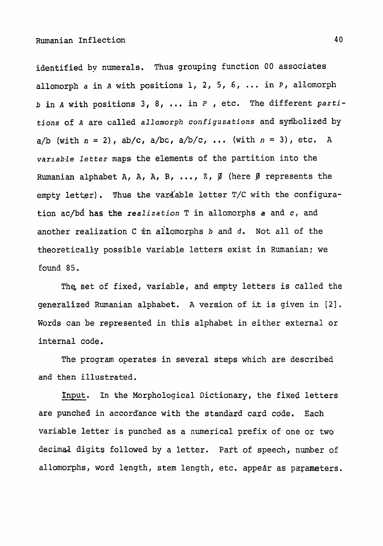**identified** bv **numerals. Thus grouping function 00 associates allomorph a** in **A with** positions 1, 2, 5, **-6,** . **in** *p,* **allomorph b in A** with **positions 3, 8,** ... **in P** , **etc. The different** *parti*tions **of A are called allamorph** configunations **and syniholized by a/b (with n** = **2), ab/c,** a/bc, a/b/c, ... **(with n** = **3),** etc. **<sup>A</sup>** *varlab3e* **letter** maps the elements **of the** partition into **the Rumanian alphabet A, A, A, B, ..., Z, Ø** (here Ø represents the empty letter). Thus the variable letter T/C with the configura**tion** ac/bd **has the realization T in allomorphs a and c, and another realization C kn allomorphs b and** d. **Not all of the theoretically possible variable letters exist in Rumanian; we**  Eound 85.

Thg **set** of **fixed, vaxiable,** and empty letters **is** called the **generalized** Rumanian alphabet. **A** version **of** i,t **is** given **in [2]. Words** can be represented in **this alphabet in** either external **or**  internal code.

The program operates **in several steps which are** described **and then illustrated.** 

&put. In the Morphological Dictionary, the fixed **letters are punched** in accordiance with **the** standard **card** code. **Each**  variable **letter is punched as a numerical prefix of one or** two **decimaA** digits **followed** by a letter. Part **of** speech, number of **allomorphs, word length, stem length, etc.** appear **as parameters.**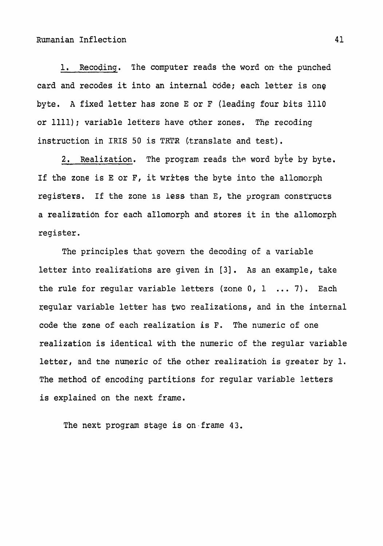**1.** Receding. **The computer reads** the **word** on the **punched card** and recodes it into an **internal kdde; each letter is** one byte. **A fixed** letter **has zone E or F (leading** four bits **I110 or 1111); variable letters have** other **zones. The recoding instruction in IRIS 50 is TRTR (translate** and test).

2. Realization. The program reads the word byte by byte. **If the zone is E or F, it writes the byte** into **the** allomorph registers. **If the** zone is **less** than E, the program **constxucts a realizatidn for each aIlomorph** and stores it **in the allomorph**  register.

**The principles that** #govern **the** decoding of a variable **letter into realiiatiohs are** given **in [3].** As **an** example, **take the** rule for regular **variable** letters **(zone** 0, <sup>1</sup>. . . 7). **Each regular** variable letter has **two realizations, and in** the internal code **the zone of each realization is F. The** numeric of one **realization is** identical **with** the numeric **of** the **regular** variable letter, and **the numeric of the other realization is** greater **by 1.**  The method **of** encodihg partitions for **regular** variable letters is explained on the **next frame.** 

**The next program stage is on-frame 43.**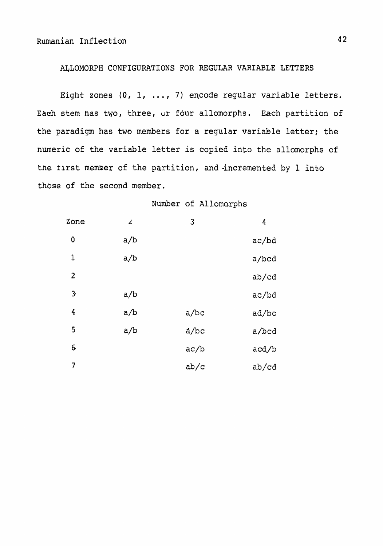# **CONFIGURATIONS** FOR REGULAR **VARIABLE** LETTERS

Eight zones (0, 1, ..., 7) encode regular variable letters. Each **stem has** two, **three, ur four allomorphs.** Each **partition of the paradigm has two members** for **a regular** variable letter; **the**  numeric **of** the **variable** letter **is** copied **into the allomorphs** of **the.** tlrst **member of the partition, and** -incremented **by 1** inko those **of the** second **member.** 

Number **of** Allomo,rphs

| Zone             | $\mathbf{z}$ | 3    | 4     |
|------------------|--------------|------|-------|
| $\boldsymbol{0}$ | a/b          |      | ac/bd |
| 1                | a/b          |      | a/bcd |
| $\overline{c}$   |              |      | ab/cd |
| $\mathbf{3}$     | a/b          |      | ac/bd |
| 4                | a/b          | a/bc | ad/bc |
| 5                | a/b          | a/bc | a/bcd |
| 6.               |              | ac/b | acd/b |
| 7                |              | ab/c | ab/cd |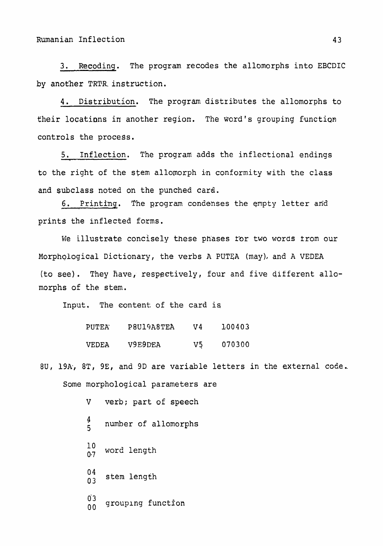**3. Receding. The program** recodes **the** allomorphs **into** EBCDIC **by** another TRTR. **instruction.** 

4. Distribution. The proqrdm distributes **the allomorphs to**  their locations in another region. The word's grouping function controls the **procegs.** 

**5. ~nflection.** The program **adds** the inflectional endings **to the right of the sfem** allornorph **in** conformity **with the class and subclass** noted on **the** punched card.

6. Printing. The program condenses the empty letter and prints **the inflected forms.** 

We illustrate concisely these phases for two words from our Morphological Dictionary, **the verbs A** PUTEA **(may),** and **A** VEDEA (to **see).** They have, respectively, four and five different **allomorphs of the** stem.

**Input.** The content of the **card is** 

| PUTEA        | P8U19A8TEA | V4 | 100403 |
|--------------|------------|----|--------|
| <b>VEDEA</b> | V9E9DEA    | V5 | 070300 |

**8U, 19k,** 8T, **9E,** and **9D are** variable **letters in the external** code.. **Some morphological parameters are** 

> **V verb;** part of speech  $\frac{4}{5}$ **<sup>5</sup>number of allomorphs 10**   $\frac{10}{0.7}$  word length  $\frac{04}{03}$ **<sup>03</sup>stem** length **03**  <sup>00</sup> grouping function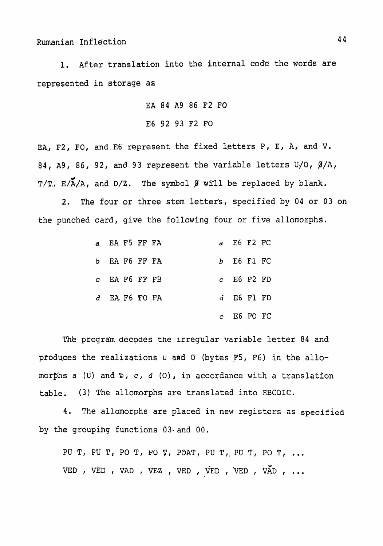1. After translation into the internal code the words are **represented in** storage **as** 

**EA 84 A9 86 F2 FO** 

**E6 92 93 F2 FO** 

EA., F2., FO, and E6 represent the fixed letters P, E, A, and V. **84, A9, 86, 92,** and **93 represent the** variable letters **UJO,** a/A,  $T/T$ .  $E/\tilde{A}/A$ , and  $D/Z$ . The symbol  $\beta$  will be replaced by blank.

**2. The** four **or three** stem **letters, specified by 04 or 93 on the** punched **card, give the following** four or **five allomorphs.** 

| a EA F5 FF FA   |  |    | a E6 F2 FC   |  |
|-----------------|--|----|--------------|--|
| b EA F6 FF FA   |  |    | b E6 F1 FC   |  |
| $c$ EA F6 FF FB |  |    | $c$ E6 F2 FD |  |
| d EA F6 FO FA   |  |    | $d$ E6 F1 FD |  |
|                 |  | e. | E6 FO FC     |  |

The program decodes the irregular variable letter 84 and pfoduces **the realizations u snd** 0 **(bytes F5, F6) in the** allo**morphs a (u) and** %, **c,** d (0) , **in** accordance **with** a **translation**  table. **(3)** The **allomorphs are translated** into **EBCDIC.** 

4. **The** allornorphs are placed **in** new **registers** as **specified by the** grouping **functions 03- and** 00.

PU T, PU T, PO T, PU T, POAT, PU T, PU T, PO T, ... VED, VED, VAD, VEZ, VED, VED, VED, VAD, ... 44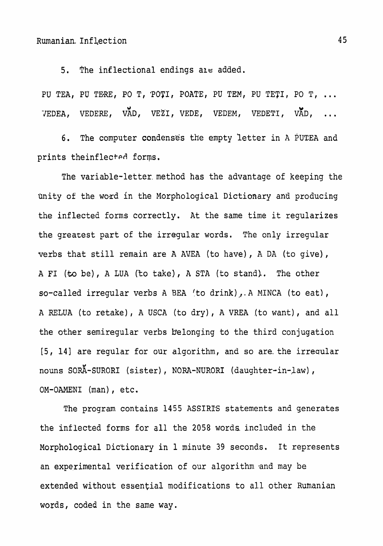Rumanian. **In£ Zection** 

**5. The inflectional endings** ale added.

PU TEA, PU TERE, PO T, POTI, POATE, PU TEM, PU TETI, PO T, ... -JEDEA, **VEDERE** , V~D, **VEZI** , **VEDE** , VEDEM , VEDETI , VXD , **...** 

**6.** The computer condensgs the empty 'letter **in A PUTEA** and prints theinflected forms.

The variable-letter, method has the advantage of keeping the Qnity **of** the word in the Morphological Dictionary and producing the inflected **forms** correctly. **At** the **same time it regularizes**  the greatest part of the irregular words. The only irregular verbs that **still remain** are A **AVEA** (to **have), A** DA **(to give), A FI** (-to be) , **A LUA** (to **take)** , **A STA** (to stand). . The other so-called irregular verbs A BEA (to **drink),,.A MINCA** (to eat), A RELUA (to retake), A USCA (to dry), A VREA .(to want), and all the other semiregular verbs **belonging td** the third conjugation [5, **141 are** regular **for our algorithm, and so are.** the irreqular nouns SORA-SURORI (sister), NORA-NURORI (daughter-in-law), OM-OAMENI **(man)** , etc.

The program contains 1455 **ASSIRE statements** and generates the inflected forms **for all the 2058** words included **in** the Morphological Dictionary in 1 minute 39 **seconds.** It represents an experimental verification of our **algorithm and may be**  extended **without** essential **modifications** to all **other** Rumanian words, coded in the **same way.** 

45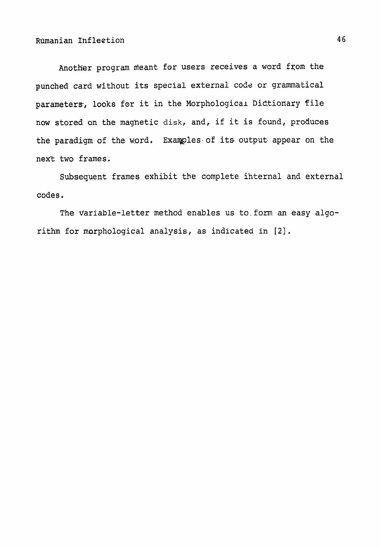Another program **meant** for **users** receives **a** word **fxom** the **punched card** without its speclal external code **or grammatical**  parameters, looks for it in the Morphological Dictionary file now **stored on the magnetic disk,** and, if it **is** found, produces **the paradigm** of **the** mrd. **Exaqples.of** its outpub appear **on the**  next two frames.

Subsequent **frames** exhibit the **complete internal** and external **codes.** 

**The-Variable-letter** method enables **us** to.fom **an easy algorithm for nnrphological analysis, as indicated in [2]** .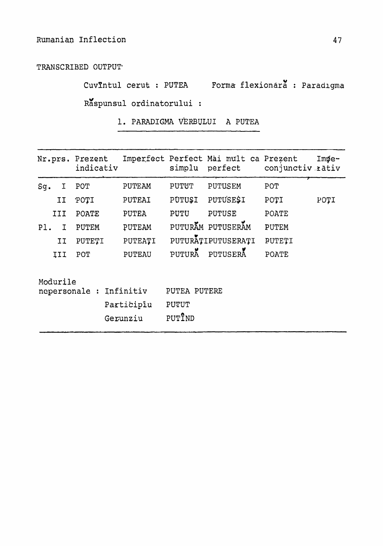TRANSCRIBED OUTPUT

CuvIntul cerut : PUTEA Forma flexionara : Paradigma Răspunsul ordinatorului :

1. PARADIGMA VERBULUI A PUTEA

| Nr.prs.                                                          |                                                   | Prezent<br>indicativ | Imperfect                       | simplu        | Perfect Mai mult ca Prezent<br>perfect | conjunctiv rativ | $Im\phi$ e- |
|------------------------------------------------------------------|---------------------------------------------------|----------------------|---------------------------------|---------------|----------------------------------------|------------------|-------------|
| Sg.                                                              | I                                                 | POT                  | PUTEAM                          | PUTUT         | PUTUSEM                                | <b>POT</b>       |             |
|                                                                  | IJ                                                | POTI                 | PUTEAI                          | <b>PUTUSI</b> | <b>PUTUSESI</b>                        | POTI             | POTI        |
|                                                                  | III                                               | POATE                | <b>PUTEA</b>                    | PUTU          | <b>PUTUSE</b>                          | POATE            |             |
| $P1$ .<br><b>PUTEM</b><br>$\mathbf I$                            |                                                   |                      | PUTEAM                          |               | PUTURAM PUTUSERAM                      | <b>PUTEM</b>     |             |
| IJ<br>PUTETI                                                     |                                                   |                      | PUTEATI                         |               | PUTURATIPUTUSERATI                     | PUTETI           |             |
|                                                                  | PUTURA<br>PUTUSERA<br><b>PUTEAU</b><br>III<br>POT |                      |                                 |               | POATE                                  |                  |             |
| Modurile<br>Infinitiv<br>nepersonale :<br>Participiu<br>Gerunziu |                                                   |                      | PUTEA PUTERE<br>PUTUT<br>PUTIND |               |                                        |                  |             |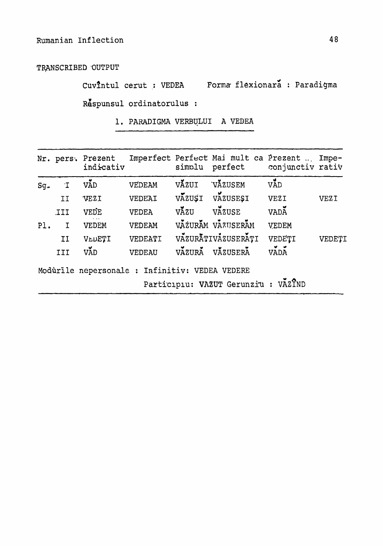TRANSCRIBED OUTPUT

Cuvîntul cerut : VEDEA Forma flexionară : Paradigma Respunsul ordinatorulus :

1. PARADIGMA VERBULUI A VEDEA

|        |              | Nr. pers. Prezent<br>indicativ                 |               | simplu | Imperfect Perfect Mai mult ca Prezent  Impe-<br>perfect | conjunctiv rativ |             |
|--------|--------------|------------------------------------------------|---------------|--------|---------------------------------------------------------|------------------|-------------|
| $Sg$ . | $\mathbf{I}$ | VÃD                                            | VEDEAM        | VAZUI  | VAZUSEM                                                 | VAD              |             |
|        | II           | <b>VEZI</b>                                    | VEDEAI        |        | VAZUSI VAZUSESI                                         | VEZI             | <b>VEZI</b> |
|        | III.         | VEDE                                           | VEDEA         | VĂZU   | VAZUSE                                                  | VADA             |             |
| PI.    | $\mathbf{I}$ | VEDEM                                          | VEDEAM        |        | VAZURAM VAZUSERAM                                       | VEDEM            |             |
|        | II           | VLDETI                                         | VEDEATI       |        | VAZURĀTIVAZUSERAȚI                                      | VEDETI           | VEDETI      |
|        | III          | VÃD                                            | <b>VEDEAU</b> |        | VAZURA VAZUSERA                                         | VADA             |             |
|        |              | Modurile nepersonale : Infinitiv: VEDEA VEDERE |               |        |                                                         |                  |             |
|        |              |                                                |               |        | Participiu: VAZUT Gerunziu : VAZTND                     |                  |             |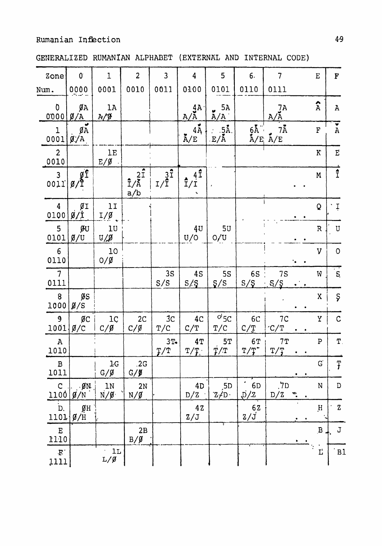|  | GENERALIZED RUMANIAN ALPHABET (EXTERNAL AND INTERNAL CODE) |  |  |  |  |  |  |
|--|------------------------------------------------------------|--|--|--|--|--|--|
|--|------------------------------------------------------------|--|--|--|--|--|--|

| Zone                             | $\mathbf{0}^{\prime}$                               | 1                       | $\overline{2}$                                                                     | $\overline{3}$                           | $\boldsymbol{4}$               | 5                                 | 6.                                                         | 7                                                                                                                                                              |                | E            | F                                                                       |
|----------------------------------|-----------------------------------------------------|-------------------------|------------------------------------------------------------------------------------|------------------------------------------|--------------------------------|-----------------------------------|------------------------------------------------------------|----------------------------------------------------------------------------------------------------------------------------------------------------------------|----------------|--------------|-------------------------------------------------------------------------|
| Num.                             | 0000                                                | 0001                    | 0010                                                                               | 0011                                     | 0100                           | 0101                              | 0110                                                       | 0111                                                                                                                                                           |                |              |                                                                         |
| $\mathbf 0$<br>0000              | $\mathfrak{g}_A$<br>$\emptyset$ /A                  | 1A<br>A/f               |                                                                                    |                                          | $A/\tilde{A}$                  | 5A<br>ú<br>A/A                    |                                                            | 7A<br>$A/\tilde{A}$                                                                                                                                            |                | $\hat{A}$    | $\mathbf{A}$                                                            |
| $\mathbf 1$<br>0001              | $\mathfrak{g}_{\rm A}$<br>$\mathfrak{g}/\mathrm{A}$ |                         |                                                                                    |                                          | $4\overline{A}$<br>$\rm \AA/E$ | $\therefore$ 5Å.<br>$E/\tilde{A}$ |                                                            | $7\rm \AA$<br>$\begin{array}{l} 6\text{\AA}^+\\ \text{\AA}/\text{\E}} \end{array} \begin{array}{l} 7\text{\AA}/\text{\E}}\\ \text{\AA}/\text{\E}} \end{array}$ |                | ${\bf F}$    | $\overline{\bullet}$<br>$\, {\bf A}$                                    |
| $\overline{2}$<br>0010           |                                                     | 1E<br>$E/\beta$         |                                                                                    |                                          |                                |                                   |                                                            |                                                                                                                                                                |                | $\rm K$      | $\mathbf{E}% _{0}=\mathbf{E}_{\mathrm{H}}\times\mathbf{E}_{\mathrm{H}}$ |
| $\overline{3}$<br>0011           | $g_{\hat{z}}$<br>$\cancel{g}$                       |                         | $\begin{array}{c}\n\overline{21} \\ \overline{1/\overline{A}} \\ a/b\n\end{array}$ | $\frac{3^{\frac{3}{4}}}{1/\overline{1}}$ | $4\hat{1}$<br>$\frac{1}{1}$    |                                   |                                                            |                                                                                                                                                                |                | ${\bf M}$    | $\hat{I}$                                                               |
| $\overline{4}$<br>0100           | $\emptyset$ I<br>$\cancel{0}/\dot{1}$               | 11<br>$I/\emptyset$     |                                                                                    |                                          |                                |                                   |                                                            |                                                                                                                                                                |                | Q            | بَ :                                                                    |
| 5<br>0101                        | ØU<br>$\beta/U$                                     | 10<br>$U/\n\mathcal{J}$ |                                                                                    |                                          | 4 <sub>U</sub><br>U/O          | 5U<br>O/U                         |                                                            |                                                                                                                                                                |                | ${\tt R}$    | U                                                                       |
| $6\phantom{1}6$<br>0110          |                                                     | 10<br>$O/\beta$         |                                                                                    |                                          |                                |                                   |                                                            |                                                                                                                                                                |                | $\mathbf V$  | $\mathsf{O}$                                                            |
| $\overline{\phantom{a}}$<br>0111 |                                                     |                         |                                                                                    | 3S<br>S/S                                | 4S<br>S/S                      | <b>5S</b><br>S/S                  | <b>6S</b><br>S/S                                           | 7S<br>S/S                                                                                                                                                      |                | W            | $\overline{S}$                                                          |
| 8<br>1000                        | $\beta S$<br>Ø/S                                    |                         |                                                                                    |                                          |                                |                                   |                                                            | $\bullet$                                                                                                                                                      | $\bullet$      | $\mathbf X$  | Ş                                                                       |
| 9<br>1001                        | $\mathfrak{g}_\mathbb{C}$<br>Ø/C                    | 1ç<br>$C/\cancel{g}$    | 2 <sub>C</sub><br>$C/\beta$                                                        | 3 <sub>C</sub><br>T/C                    | 4 <sub>C</sub><br>C/T          | $Od$ 5C<br>T/C                    | 6C<br>C/T                                                  | 7 <sup>C</sup><br>C/T                                                                                                                                          |                | Y            | $\mathcal{C}$                                                           |
| $\, {\bf A}$<br>1010             |                                                     |                         |                                                                                    | $3T -$<br>T/T                            | 4T<br>T/T                      | 5T<br>T/T                         | 6T<br>$\texttt{T/T}^{\star}$                               | 7T<br>T/T                                                                                                                                                      |                | ${\tt P}$    | $\mathbf T$ .                                                           |
| $\, {\bf B}$<br>1011             |                                                     | $1-G$<br>$G/\cancel{g}$ | .2G<br>$G/\cancel{9}$                                                              |                                          |                                |                                   |                                                            |                                                                                                                                                                | $\bullet$<br>٠ | G            | Ŧ                                                                       |
| $\mathsf{C}$<br>1100             | $.$ ØN.<br>$\chi/N$                                 | 1N<br>$N/\cancel{0}$    | 2N<br>$N/\cancel{0}$                                                               |                                          | 4D<br>D/Z                      | 5D<br>$Z/D$ .                     | $\blacksquare$<br>6 <sub>D</sub><br>$\overrightarrow{D}/2$ | .7D<br>D/Z                                                                                                                                                     | $\omega$       | ${\bf N}$    | $\mathbf D$                                                             |
| D.<br>1101                       | ØН<br>$\cancel{\beta}/H$                            |                         |                                                                                    |                                          | 42<br>Z/J                      |                                   | $rac{62}{2/5}$                                             |                                                                                                                                                                |                | $\,$ H       | $\mathbf Z$                                                             |
| E<br>1110                        |                                                     |                         | 2B<br>$B/\cancel{g}$                                                               |                                          |                                |                                   |                                                            |                                                                                                                                                                | ٠              | $\, {\bf B}$ | J                                                                       |
| $\mathbf{F}$ .<br>1111           |                                                     | 1L<br>$L/\cancel{g}$    |                                                                                    |                                          |                                |                                   |                                                            |                                                                                                                                                                |                | $\Gamma$     | B1                                                                      |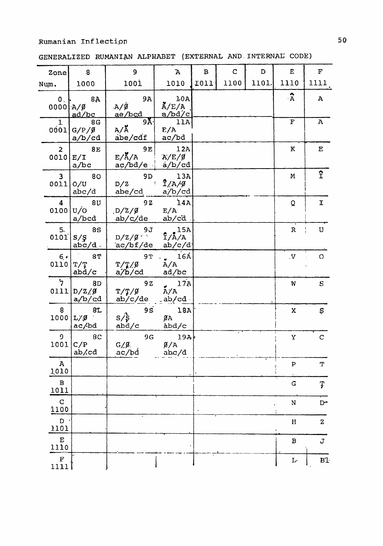GENERALIZED RUMANIAN ALPHABET (EXTERNAL AND INTERNAL CODE)

| Zone                            | $\boldsymbol{8}$                      | $\mathbf{9}$                               | $\mathbf A$                                                           | $\, {\bf B}$ | $\mathbf C$ | D     | $\bf E$                   | $\mathbf F$        |
|---------------------------------|---------------------------------------|--------------------------------------------|-----------------------------------------------------------------------|--------------|-------------|-------|---------------------------|--------------------|
| Num.                            | 1000                                  | 1001                                       | 1010                                                                  | <b>I011</b>  | 1100        | 1101. | 1110                      | 1111               |
| $\mathbf 0$ .<br>0000           | 8A<br>$A/\cancel{0}$<br>ad/bc         | <b>9A</b><br>$A/\dot{B}$<br><u>ae/bcd</u>  | 1.0A<br>$\rm \AA/E/A$<br>a/bd/c                                       |              |             |       | $\hat{A}$                 | ${\bf A}$          |
| $\mathbf{1}$<br>0001            | 8G<br>$G/P/\emptyset$<br>a/b/cd       | 9Å-<br>$A/\overset{\bullet}{A}$<br>abe/cdf | 11A<br>E/A<br>ac/bd                                                   |              |             |       | $\mathbf F$               | $\mathbf{A}$       |
| $\overline{2}$<br>$0010$  E/I   | <b>8E</b><br>a/bc                     | <b>9E</b><br>$E/\AA/A$<br>$a\phi/bd/e$     | 12A<br>$A/E/\emptyset$<br>a/b/cd                                      |              |             |       | $\bf K$                   | ${\bf E}$          |
| $\overline{\mathbf{3}}$<br>0011 | 80<br>O/U<br>abc/d                    | 9 <sub>D</sub><br>D/Z<br>abe/cd            | 13A<br>$\hat{I}/A/\beta$<br>$\mathbf{1}$ .<br>a/b/cd                  |              |             |       | ${\bf M}$                 | $\hat{\mathbf{I}}$ |
| $\boldsymbol{4}$<br>0100 U/O    | 8 <sub>U</sub><br>a/bcd               | 9Z<br>D/Z/G<br>ab/c/de                     | 14A<br>E/A<br>ab/cd                                                   |              |             |       | Q                         | $\mathbf I$        |
| 5.<br>0101                      | <b>8S</b><br>S/S<br>$abc/d$ .         | 9J<br>$D/Z/\beta$<br>ac/bf/de              | 15A<br>$\hat{I}/\hat{A}/A$<br>ab/c/d                                  |              |             |       | $\ensuremath{\mathsf{R}}$ | U                  |
| 6.7<br>0110                     | 8T<br>T/T<br>abd/c                    | <b>9T</b><br>$T/T/\beta$<br>a/b/cd         | $16\text{\AA}$<br>A/A<br>ad/bc                                        |              |             |       | $\cdot$ V                 | $\Omega$           |
| $\overline{7}$                  | 8D<br>0111 D/Z/G<br>a/b/cd            | 9Z<br>$T/T/\cancel{g}$<br>ab/c/de          | 17A<br>$\stackrel{\bullet}{\rm A}/\stackrel{\bullet}{\rm A}$<br>ab/cd |              |             |       | W                         | S                  |
| 8<br>1000                       | <b>81</b><br>$L/\mathcal{G}$<br>ac/bd | 9S<br>$s/\xi$<br>abd/c                     | 18A<br>ØA<br>àbd/c                                                    |              |             |       | $\mathbf x$               | $\mathbb S$        |
| 9<br>1001                       | 8C<br>C/P<br>ab/cd                    | 9G<br>$G/\cancel{g}$ .<br>ac/bd            | 19A<br>$\beta/A$<br>abc/d                                             |              |             |       | Y                         | $\mathbf C$        |
| ${\bf A}$<br>1010               |                                       |                                            |                                                                       |              |             |       | ${\bf P}$                 | $\mathbf T$        |
| $\, {\bf B}$<br>1011            |                                       |                                            |                                                                       |              |             |       | G                         | Ţ                  |
| $\mathbf C$<br>1100             |                                       |                                            |                                                                       |              |             |       | $\mathbf N$               | $D$ -              |
| $\mathbf{D}$<br>1101            |                                       |                                            |                                                                       |              |             |       | H                         | $\mathbf z$        |
| $\mathbf E$<br>1110             |                                       |                                            |                                                                       |              |             |       | $\, {\bf B}$              | J                  |
| $\mathbf{F}% _{0}$<br>1111      |                                       |                                            |                                                                       |              |             |       | $L_{\Gamma}$              | B1                 |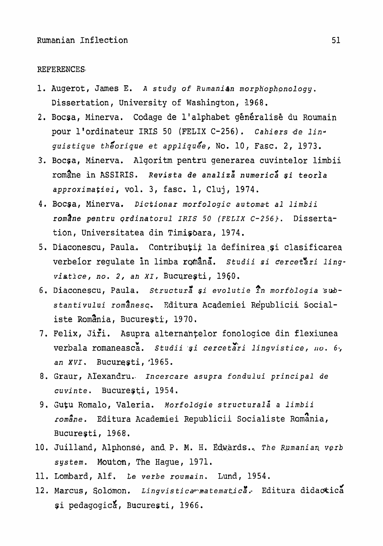#### REFERENCES

- 1. Augerot, James E. A study of Rumanian morphophonology. **Dissertation, university** of **Washington, 1968.**
- **2.** Bocsa, Minerva. Coda.ge **de** 1 ' alphabet **g&n6ralis&** du **Roumain**  pour **l'ordinateur** IRIS 50 **(FELIX C-256)** . *Cahiers* lde linguistigue *the/orique* et *appliquge,* **NO. 10, Fasc, 2,** 1973.
- 3. Boc~a, Minerva. Alqoritm pentru generarea cuvintelor **limbii romane** in **ASSIRIS. Revista de** *analiza'* **numerics si** *teoria*  approximafiei, vol. **3,** fasc. **1,** Cluj, **1974.**
- 4. Bocqa, Minerva. *Dictionar morfol* ogic *automast* **a1 limbii**  *romane pentru* prdinatorul *IRIS* 50 (FELIX C-256). Dissertation, Universitatea din Timisoara, 1974.
- 5. Diaconescu, Paula. Contribuții la definirea și clasificarea verbeior **regulate** in limba r@^ana'. *Studii* **si** *~ercet%ri ling*vistice, no. 2, an XI, București, 1960.
- **6.** Diaconescu, Paula. structura\* *~i* evolutie **?n** *morfologia* **s&**  stanti **vului rom8nesq. Kditura Academiei** ~e'publicii Socialiste Romania, București, 1970.
- 7. Felix, Jiri. Asupra alternantelor fonologice din flexiunea verbala romaneasca. Studii și cercetări lingvistice, no. 6, *an* **XVI.** Bucureqti, **'1965.**
- 8. **Graur,** Alexandru. **Incescare** asupra *fondul* ui **principal** *de*  cuvinte. Bucure;ti, 1954.
- 9. Gutu Romalo, Valeria. Morfologie structurală a limbii roma^ne. **Editura Academiei ~epublicii** Socialiste **~omznia,**  Bucuregti, 1968.
- 10. Juilland, Alphonse, and P. M. H. Edwards.. The Rumanian verb system. Mouton, The Hague, 1971.
- **11.** Lombard, **Alf. fe verbe roumain.** Lund, 1954.
- 12. Marcus, Solomon. Lingvistica matematica. Editura didactica **\$i pedagogic!\$,** Bacuresti , 1966.